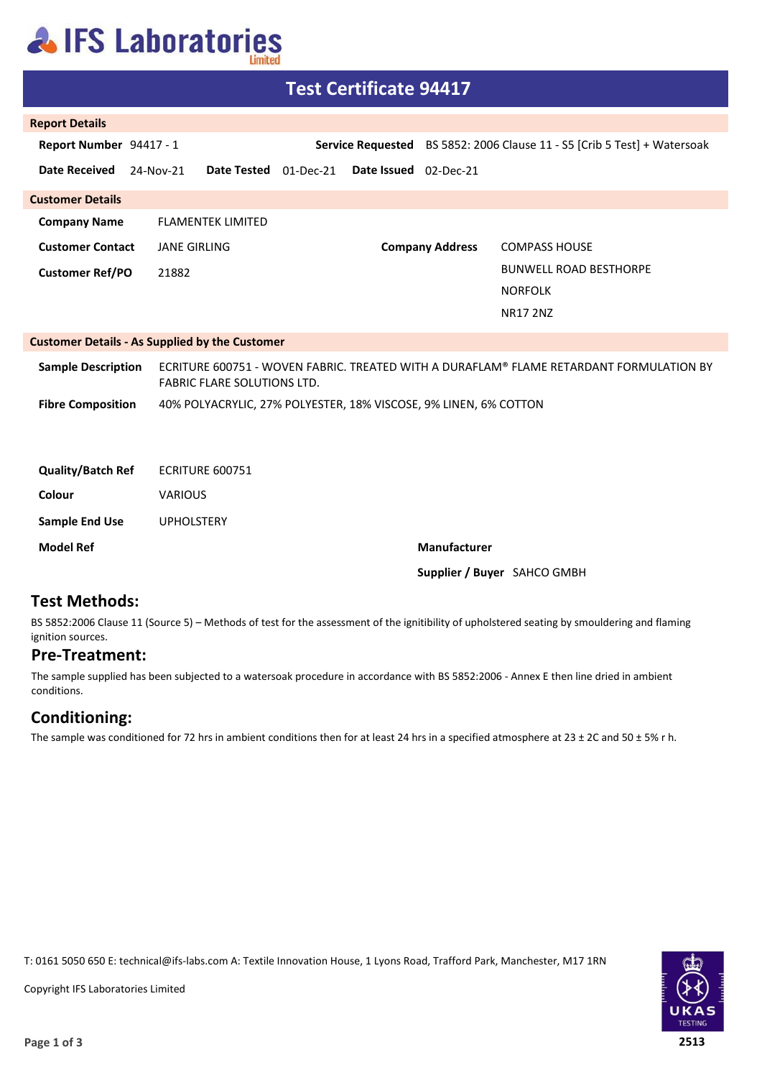# **AIFS Laboratories**

| <b>Test Certificate 94417</b>                         |                                                                                                                               |                                    |                        |                                                                          |  |  |
|-------------------------------------------------------|-------------------------------------------------------------------------------------------------------------------------------|------------------------------------|------------------------|--------------------------------------------------------------------------|--|--|
| <b>Report Details</b>                                 |                                                                                                                               |                                    |                        |                                                                          |  |  |
| Report Number 94417 - 1                               |                                                                                                                               |                                    |                        | Service Requested BS 5852: 2006 Clause 11 - S5 [Crib 5 Test] + Watersoak |  |  |
| <b>Date Received</b>                                  | 24-Nov-21<br><b>Date Tested</b>                                                                                               | 01-Dec-21<br>Date Issued 02-Dec-21 |                        |                                                                          |  |  |
| <b>Customer Details</b>                               |                                                                                                                               |                                    |                        |                                                                          |  |  |
| <b>Company Name</b>                                   | <b>FLAMENTEK LIMITED</b>                                                                                                      |                                    |                        |                                                                          |  |  |
| <b>Customer Contact</b>                               | <b>JANE GIRLING</b>                                                                                                           |                                    | <b>Company Address</b> | <b>COMPASS HOUSE</b>                                                     |  |  |
| <b>Customer Ref/PO</b>                                | 21882                                                                                                                         |                                    |                        | <b>BUNWELL ROAD BESTHORPE</b>                                            |  |  |
|                                                       |                                                                                                                               |                                    |                        | <b>NORFOLK</b>                                                           |  |  |
|                                                       |                                                                                                                               |                                    |                        | <b>NR17 2NZ</b>                                                          |  |  |
| <b>Customer Details - As Supplied by the Customer</b> |                                                                                                                               |                                    |                        |                                                                          |  |  |
| <b>Sample Description</b>                             | ECRITURE 600751 - WOVEN FABRIC. TREATED WITH A DURAFLAM® FLAME RETARDANT FORMULATION BY<br><b>FABRIC FLARE SOLUTIONS LTD.</b> |                                    |                        |                                                                          |  |  |
| <b>Fibre Composition</b>                              | 40% POLYACRYLIC, 27% POLYESTER, 18% VISCOSE, 9% LINEN, 6% COTTON                                                              |                                    |                        |                                                                          |  |  |
|                                                       |                                                                                                                               |                                    |                        |                                                                          |  |  |
| <b>Quality/Batch Ref</b>                              | <b>ECRITURE 600751</b>                                                                                                        |                                    |                        |                                                                          |  |  |
| Colour                                                | <b>VARIOUS</b>                                                                                                                |                                    |                        |                                                                          |  |  |
| <b>Sample End Use</b>                                 | <b>UPHOLSTERY</b>                                                                                                             |                                    |                        |                                                                          |  |  |
| <b>Model Ref</b>                                      |                                                                                                                               |                                    | Manufacturer           |                                                                          |  |  |
|                                                       | Supplier / Buyer SAHCO GMBH                                                                                                   |                                    |                        |                                                                          |  |  |
|                                                       |                                                                                                                               |                                    |                        |                                                                          |  |  |

### **Test Methods:**

BS 5852:2006 Clause 11 (Source 5) – Methods of test for the assessment of the ignitibility of upholstered seating by smouldering and flaming ignition sources.

#### **Pre-Treatment:**

The sample supplied has been subjected to a watersoak procedure in accordance with BS 5852:2006 - Annex E then line dried in ambient conditions.

### **Conditioning:**

The sample was conditioned for 72 hrs in ambient conditions then for at least 24 hrs in a specified atmosphere at 23 ± 2C and 50 ± 5% r h.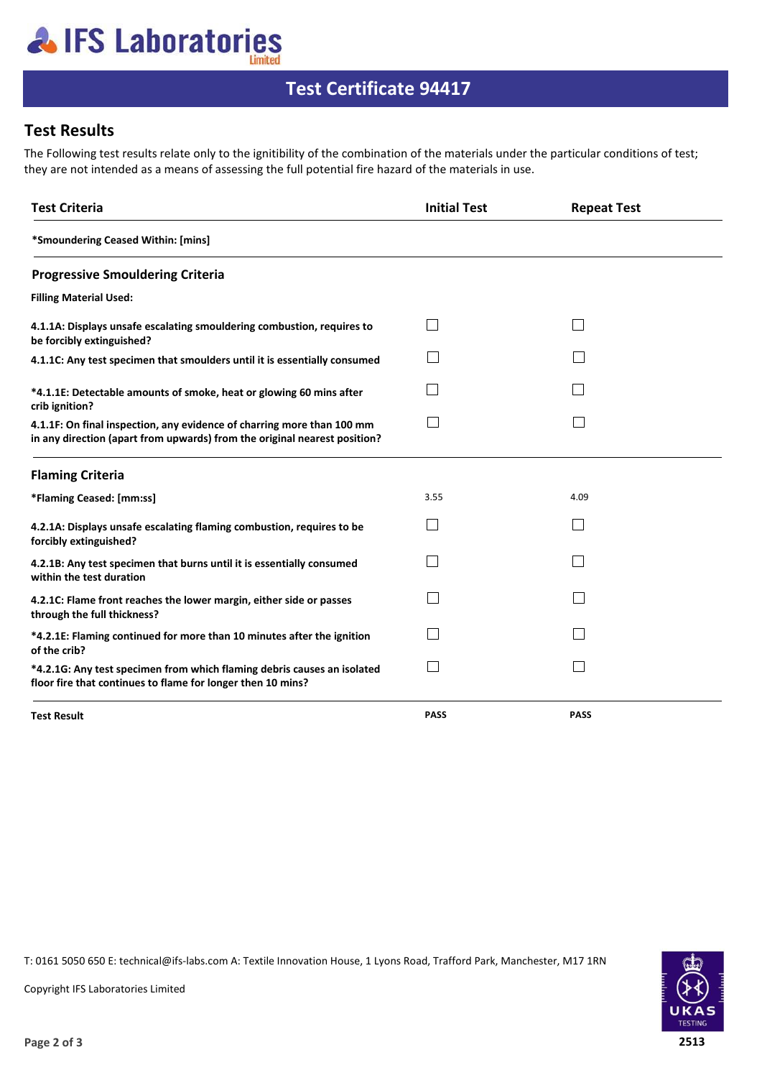# **AIFS Laboratories**

## **Test Certificate 94417**

### **Test Results**

The Following test results relate only to the ignitibility of the combination of the materials under the particular conditions of test; they are not intended as a means of assessing the full potential fire hazard of the materials in use.

| <b>Test Criteria</b>                                                                                                                                | <b>Initial Test</b> | <b>Repeat Test</b> |  |
|-----------------------------------------------------------------------------------------------------------------------------------------------------|---------------------|--------------------|--|
| *Smoundering Ceased Within: [mins]                                                                                                                  |                     |                    |  |
| <b>Progressive Smouldering Criteria</b>                                                                                                             |                     |                    |  |
| <b>Filling Material Used:</b>                                                                                                                       |                     |                    |  |
| 4.1.1A: Displays unsafe escalating smouldering combustion, requires to<br>be forcibly extinguished?                                                 |                     |                    |  |
| 4.1.1C: Any test specimen that smoulders until it is essentially consumed                                                                           |                     |                    |  |
| *4.1.1E: Detectable amounts of smoke, heat or glowing 60 mins after<br>crib ignition?                                                               |                     |                    |  |
| 4.1.1F: On final inspection, any evidence of charring more than 100 mm<br>in any direction (apart from upwards) from the original nearest position? |                     |                    |  |
| <b>Flaming Criteria</b>                                                                                                                             |                     |                    |  |
| *Flaming Ceased: [mm:ss]                                                                                                                            | 3.55                | 4.09               |  |
| 4.2.1A: Displays unsafe escalating flaming combustion, requires to be<br>forcibly extinguished?                                                     |                     |                    |  |
| 4.2.1B: Any test specimen that burns until it is essentially consumed<br>within the test duration                                                   |                     |                    |  |
| 4.2.1C: Flame front reaches the lower margin, either side or passes<br>through the full thickness?                                                  |                     |                    |  |
| *4.2.1E: Flaming continued for more than 10 minutes after the ignition<br>of the crib?                                                              |                     |                    |  |
| *4.2.1G: Any test specimen from which flaming debris causes an isolated<br>floor fire that continues to flame for longer then 10 mins?              |                     |                    |  |
| <b>Test Result</b>                                                                                                                                  | <b>PASS</b>         | <b>PASS</b>        |  |

T: 0161 5050 650 E: technical@ifs-labs.com A: Textile Innovation House, 1 Lyons Road, Trafford Park, Manchester, M17 1RN



Copyright IFS Laboratories Limited